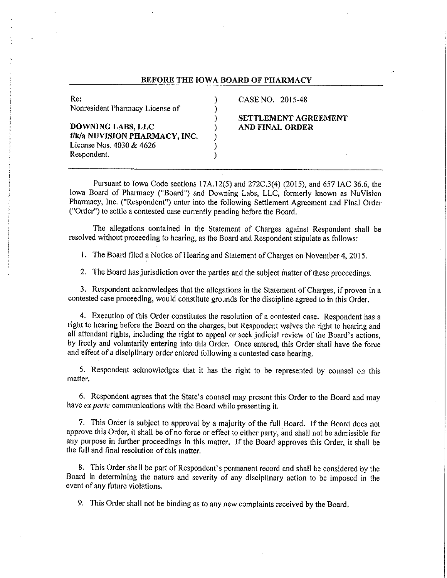#### BEFORE THE IOWA BOARD OF PHARMACY

 $\lambda$ Í

١

١

)

| Re:                             |
|---------------------------------|
| Nonresident Pharmacy License of |
|                                 |
| DOWNING LABS, LLC               |
| f/k/a NUVISION PHARMACY, INC.   |
| License Nos. 4030 & 4626        |
| Respondent.                     |

#### CASE NO. 2015-48

#### SETTLEMENT AGREEMENT AND FINAL ORDER

Pursuant to Iowa Code sections 17A.12(5) and 272C.3(4) (2015), and 657 IAC 36.6, the Iowa Board of Pharmacy ("Board") and Downing Labs, LLC, formerly known as NuVision Pharmacy, Inc. ("Respondent") enter into the following Settlement Agreement and Final Order ("Order") to settle a contested case currently pending before the Board.

The allegations contained in the Statement of Charges against Respondent shall be resolved without proceeding to hearing, as the Board and Respondent stipulate as follows:

1. The Board filed a Notice of Hearing and Statement of Charges on November 4, 2015.

2. The Board has jurisdiction over the parties and the subject matter of these proceedings.

3. Respondent acknowledges that the allegations in the Statement of Charges, if proven in a contested case proceeding, would constitute grounds for the discipline agreed to in this Order.

4. Execution of this Order constitutes the resolution of a contested case. Respondent has a right to hearing before the Board on the charges, but Respondent waives the right to hearing and all attendant rights, including the right to appeal or seek judicial review of the Board's actions, by freely and voluntarily entering into this Order. Once entered, this Order shall have the force and effect of a disciplinary order entered following a contested case hearing.

5. Respondent acknowledges that it has the right to be represented by counsel on this matter.

6. Respondent agrees that the State's counsel may present this Order to the Board and may have ex parte communications with the Board while presenting it.

7. This Order is subject to approval by a majority of the full Board. If the Board does not approve this Order, it shall be of no force or effect to either party, and shall not be admissible for any purpose in further proceedings in this matter. If the Board approves this Order, it shall be the full and final resolution of this matter.

8. This Order shall be part of Respondent's permanent record and shall be considered by the Board in determining the nature and severity of any disciplinary action to be imposed in the event of any future violations.

9. This Order shall not be binding as to any new complaints received by the Board.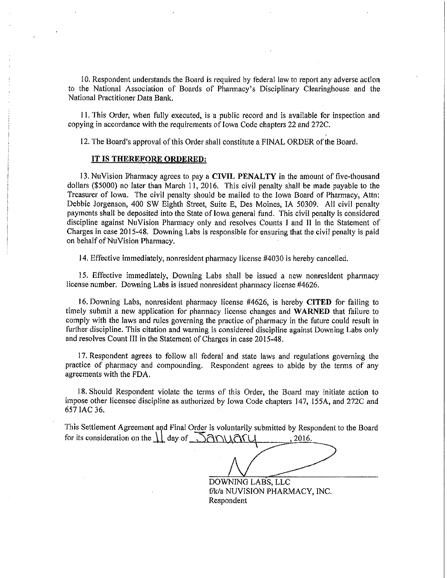10. Respondent understands the Board is required by federal law to report any adverse action to the National Association of Boards of Pharmacy's Disciplinary Clearinghouse and the National Practitioner Data Bank.

11. This Order, when fully executed, is a public record and is available for inspection and copying in accordance with the requirements of Iowa Code chapters 22 and 272C.

12. The Board's approval of this Order shall constitute a FINAL ORDER of the Board.

#### IT IS THEREFORE ORDERED:

13. NuVision Pharmacy agrees to pay a CIVIL PENALTY in the amount of five-thousand dollars (\$5000) no later than March 11, 2016. This civil penalty shall be made payable to the Treasurer of Iowa. The civil penalty should be mailed to the Iowa Board of Pharmacy, Attn: Debbie Jorgenson, 400 SW Eighth Street, Suite E, Des Moines, IA 50309. All civil penalty payments shall be deposited into the State of lowa general fund. This civil penalty is considered discipline against NuVision Pharmacy only and resolves Counts I and II in the Statement of Charges in case 2015-48. Downing Labs is responsible for ensuring that the civil penalty is paid on behalf of NuVision Pharmacy.

14. Effective immediately, nonresident pharmacy license #4030 is hereby cancelled.

15. Effective immediately, Downing Labs shall be issued a new nonresident pharmacy license number. Downing Labs is issued nonresident pharmacy license #4626.

16. Downing Labs, nonresident pharmacy license #4626, is hereby CITED for failing to timely submit a new application for pharmacy license changes and WARNED that failure to comply with the laws and rules governing the practice of pharmacy in the future could result in further discipline. This citation and warning is considered discipline against Downing Labs only and resolves Count III in the Statement of Charges in case 2015-48.

17. Respondent agrees to follow all federal and state laws and regulations governing the practice of pharmacy and compounding. Respondent agrees to abide by the terms of any agreements with the FDA.

18. Should Respondent violate the terms of this Order, the Board may initiate action to impose other licensee discipline as authorized by Iowa Code chapters 147, 155A, and 272C and 657 IAC 36.

This Settlement Agreement and Final Order is voluntarily submitted by Respondent to the Board for its consideration on the  $\prod$  day of  $\Box$   $\partial \cap \cup \partial \cap \cup$ 2016.

DOWNING LABS, LLC f/k/a NUVISION PHARMACY, INC. Respondent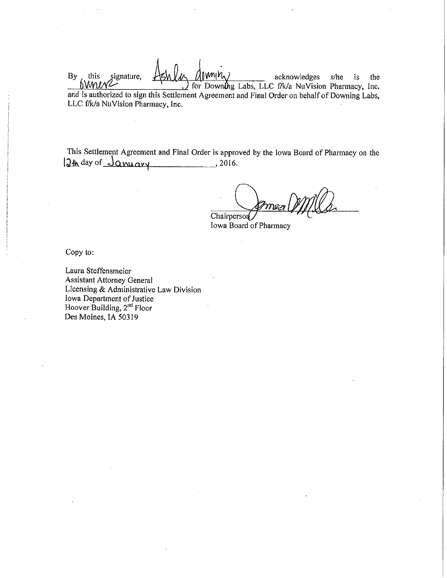$By$ . acknowledges this signature, s/he is the bMniv for Downing Labs, LLC f/k/a NuVision Pharmacy, Inc. and is authorized to sign this Settlement Agreement and Final Order on behalf of Downing Labs, LLC f/k/a NuVision Pharmacy, Inc.

This Settlement Agreement and Final Order is approved by the Iowa Board of Pharmacy on the 12th day of <u>January</u> 2016.

 $\eta$ Chairperson

Iowa Board of Pharmacy

Copy to:

Laura Steffensmeier **Assistant Attorney General** Licensing & Administrative Law Division Iowa Department of Justice Hoover Building, 2<sup>nd</sup> Floor Des Moines, IA 50319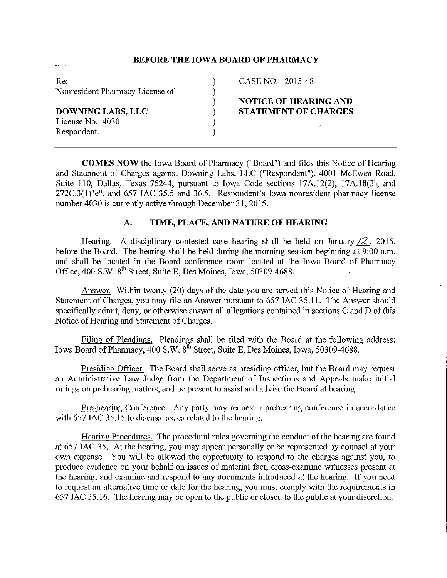# **BEFORE THE IOWA BOARD OF PHARMACY**

Re: (2015-48) CASE NO. 2015-48 Nonresident Pharmacy License of  $)$ 

**DOWNING LABS, LLC**  $\qquad$  **STATEMENT OF CHARGES**<br>License No. 4030  $\qquad$ License No. 4030 Respondent.

# ) **NOTICE OF HEARING AND**

**COMES NOW** the Iowa Board of Pharmacy ("Board") and files this Notice of Hearing and Statement of Charges against Downing Labs, LLC ("Respondent"), 4001 McEwen Road, Suite 110, Dallas, Texas 75244, pursuant to Iowa Code sections 17A.12(2), 17A.18(3), and 272C.3(l)"e", and 657 IAC 35.5 and 36.5. Respondent's Iowa nonresident pharmacy license number 4030 is currently active through December 31, 2015.

#### **A. TIME, PLACE, AND NATURE OF HEARING**

Hearing. A disciplinary contested case hearing shall be held on January */2,* 2016, before the Board. The hearing shall be held during the morning session beginning at 9:00 a.m. and shall be located in the Board conference room located at the Iowa Board of Pharmacy Office, 400 S.W. 8<sup>th</sup> Street, Suite E, Des Moines, Iowa, 50309-4688.

Answer. Within twenty (20) days of the date you are served this Notice of Hearing and Statement of Charges, you may file an Answer pursuant to 657 IAC 35.11. The Answer should specifically admit, deny, or otherwise answer all allegations contained in sections C and D of this Notice of Hearing and Statement of Charges.

Filing of Pleadings. Pleadings shall be filed with the Board at the following address: Iowa Board of Pharmacy, 400 S.W. 8<sup>th</sup> Street, Suite E, Des Moines, Iowa, 50309-4688.

Presiding Officer. The Board shall serve as presiding officer, but the Board may request an Administrative Law Judge from the Department of Inspections and Appeals make initial rulings on prehearing matters, and be present to assist and advise the Board at hearing.

Pre-hearing Conference. Any paity may request a prehearing conference in accordance with 657 IAC 35.15 to discuss issues related to the hearing.

Hearing Procedures. The procedural rules governing the conduct of the hearing are found at 657 IAC 35. At the hearing, you may appear personally or be represented by counsel at your own expense. You will be allowed the opportunity to respond to the charges against you, to produce evidence on your behalf on issues of material fact, cross-examine witnesses present at the hearing, and examine and respond to any docmnents introduced at the hearing. If you need to request an alternative time or date for the hearing, you must comply with the requirements in 657 IAC 35.16. The hearing may be open to the public or closed to the public at your discretion.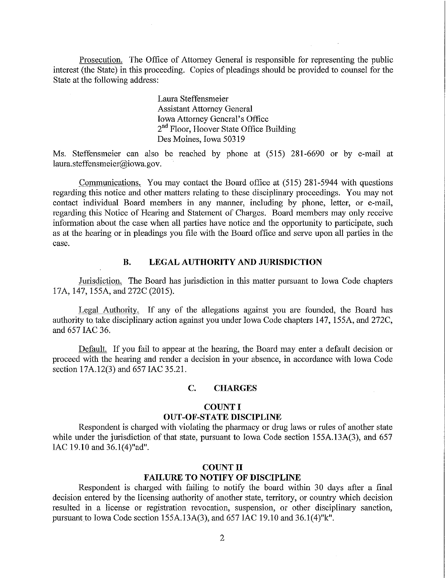Prosecution. The Office of Attorney General is responsible for representing the public interest (the State) in this proceeding. Copies of pleadings should be provided to counsel for the State at the following address:

> Laura Steffensmeier Assistant Attorney General Iowa Attorney General's Office 2<sup>nd</sup> Floor, Hoover State Office Building Des Moines, Iowa 50319

Ms. Steffensmeier can also be reached by phone at (515) 281-6690 or by e-mail at laura.steffensmeier@iowa.gov.

Communications. You may contact the Board office at (515) 281-5944 with questions regarding this notice and other matters relating to these disciplinary proceedings. You may not contact individual Board members in any manner, including by phone, letter, or e-mail, regarding this Notice of Hearing and Statement of Charges. Board members may only receive information about the case when all parties have notice and the opportunity to participate, such as at the hearing or in pleadings you file with the Board office and serve upon all parties in the case.

# **B. LEGAL AUTHORITY AND JURISDICTION**

Jurisdiction. The Board has jurisdiction in this matter pursuant to Iowa Code chapters 17A, 147, 155A, and 272C (2015).

Legal Authority. If any of the allegations against you are founded, the Board has authority to take disciplinary action against you under Iowa Code chapters 147, 155A, and 272C, and 657 IAC 36.

Default. If you fail to appear at the hearing, the Board may enter a default decision or proceed with the hearing and render a decision in your absence, in accordance with Iowa Code section 17A.12(3) and 657 IAC 35.21.

#### **C. CHARGES**

#### **COUNT I**

#### **OUT-OF-STATE DISCIPLINE**

Respondent is charged with violating the pharmacy or drug laws or rules of another state while under the jurisdiction of that state, pursuant to Iowa Code section 155A.13A(3), and 657 IAC 19.10 and 36.1(4)"ad".

#### **COUNT II**

#### **FAILURE TO NOTIFY OF DISCIPLINE**

Respondent is charged with failing to notify the board within 30 days after a final decision entered by the licensing authority of another state, territory, or country which decision resulted in a license or registration revocation, suspension, or other disciplinary sanction, pursuant to Iowa Code section 155A.13A(3), and 657 IAC 19.10 and 36.1(4)"k".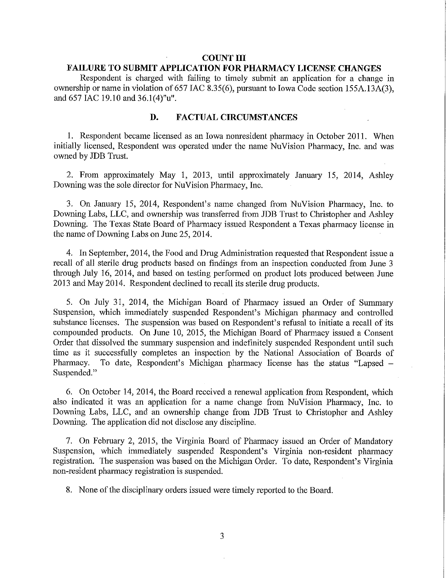### **COUNT III**

# **FAILURE TO SUBMIT APPLICATION FOR PHARMACY LICENSE CHANGES**

Respondent is charged with failing to timely submit an application for a change in ownership or name in violation of 657 IAC 8.35(6), pursuant to Iowa Code section 155A.13A(3), and 657 IAC 19.10 and 36.1(4)"u".

## **D. FACTUAL CIRCUMSTANCES**

1. Respondent became licensed as an Iowa nonresident pharmacy in October 2011. When initially licensed, Respondent was operated under the name NuVision Pharmacy, Inc. and was owned by JDB Trust.

2. From approximately May 1, 2013, until approximately January 15, 2014, Ashley Downing was the sole director for Nu Vision Pharmacy, Inc.

3. On January 15, 2014, Respondent's name changed from NuVision Pharmacy, Inc. to Downing Labs, LLC, and ownership was transferred from JDB Trust to Christopher and Ashley Downing. The Texas State Board of Pharmacy issued Respondent a Texas pharmacy license in the name of Downing Labs on June 25, 2014.

4. In September, 2014, the Food and Drug Administration requested that Respondent issue a recall of all sterile drug products based on findings from an inspection conducted from June 3 through July 16, 2014, and based on testing performed on product lots produced between June 2013 and May 2014. Respondent declined to recall its sterile drug products.

5. On July 31, 2014, the Michigan Board of Pharmacy issued an Order of Summary Suspension, which immediately suspended Respondent's Michigan pharmacy and controlled substance licenses. The suspension was based on Respondent's refusal to initiate a recall of its compounded products. On June 10, 2015, the Michigan Board of Pharmacy issued a Consent Order that dissolved the summary suspension and indefinitely suspended Respondent until such time as it successfully completes an inspection by the National Association of Boards of Pharmacy. To date, Respondent's Michigan pharmacy license has the status "Lapsed -Suspended."

6. On October 14, 2014, the Board received a renewal application from Respondent, which also indicated it was an application for a name change from NuVision Pharmacy, Inc. to Downing Labs, LLC, and an ownership change from JDB Trust to Christopher and Ashley Downing. The application did not disclose any discipline.

7. On February 2, 2015, the Virginia Board of Pharmacy issued an Order of Mandatory Suspension, which immediately suspended Respondent's Virginia non-resident pharmacy registration. The suspension was based on the Michigan Order. To date, Respondent's Virginia non-resident pharmacy registration is suspended.

8. None of the disciplinary orders issued were timely reported to the Board.